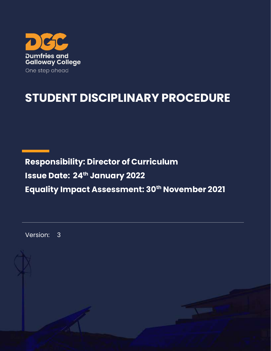

# **STUDENT DISCIPLINARY PROCEDURE**

**Responsibility: Director of Curriculum Issue Date: 24 th January 2022 Equality Impact Assessment: 30th November 2021**

Version: 3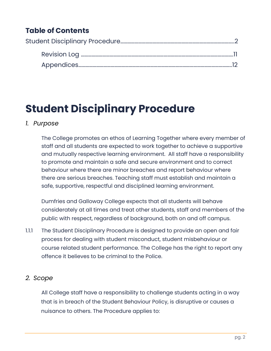# **Table of Contents**

# <span id="page-1-0"></span>**Student Disciplinary Procedure**

## *1. Purpose*

The College promotes an ethos of Learning Together where every member of staff and all students are expected to work together to achieve a supportive and mutually respective learning environment. All staff have a responsibility to promote and maintain a safe and secure environment and to correct behaviour where there are minor breaches and report behaviour where there are serious breaches. Teaching staff must establish and maintain a safe, supportive, respectful and disciplined learning environment.

Dumfries and Galloway College expects that all students will behave considerately at all times and treat other students, staff and members of the public with respect, regardless of background, both on and off campus.

1.1.1 The Student Disciplinary Procedure is designed to provide an open and fair process for dealing with student misconduct, student misbehaviour or course related student performance. The College has the right to report any offence it believes to be criminal to the Police.

## *2. Scope*

All College staff have a responsibility to challenge students acting in a way that is in breach of the Student Behaviour Policy, is disruptive or causes a nuisance to others. The Procedure applies to: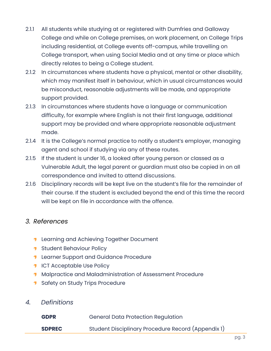- 2.1.1 All students while studying at or registered with Dumfries and Galloway College and while on College premises, on work placement, on College Trips including residential, at College events off-campus, while travelling on College transport, when using Social Media and at any time or place which directly relates to being a College student.
- 2.1.2 In circumstances where students have a physical, mental or other disability, which may manifest itself in behaviour, which in usual circumstances would be misconduct, reasonable adjustments will be made, and appropriate support provided.
- 2.1.3 In circumstances where students have a language or communication difficulty, for example where English is not their first language, additional support may be provided and where appropriate reasonable adjustment made.
- 2.1.4 It is the College's normal practice to notify a student's employer, managing agent and school if studying via any of these routes.
- 2.1.5 If the student is under 16, a looked after young person or classed as a Vulnerable Adult, the legal parent or guardian must also be copied in on all correspondence and invited to attend discussions.
- 2.1.6 Disciplinary records will be kept live on the student's file for the remainder of their course. If the student is excluded beyond the end of this time the record will be kept on file in accordance with the offence.

## *3. References*

- **1** Learning and Achieving Together Document
- **1** Student Behaviour Policy
- **1** Learner Support and Guidance Procedure
- **1** ICT Acceptable Use Policy
- **1** Malpractice and Maladministration of Assessment Procedure
- **1** Safety on Study Trips Procedure
- *4. Definitions*

| <b>GDPR</b>   | <b>General Data Protection Regulation</b>          |
|---------------|----------------------------------------------------|
| <b>SDPREC</b> | Student Disciplinary Procedure Record (Appendix 1) |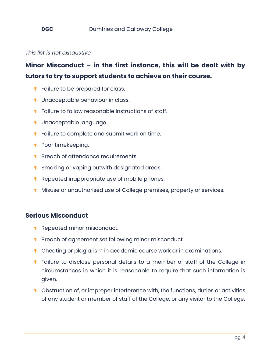*This list is not exhaustive*

## **Minor Misconduct – in the first instance, this will be dealt with by tutors to try to support students to achieve on their course.**

- **T** Failure to be prepared for class.
- **1** Unacceptable behaviour in class.
- **T** Failure to follow reasonable instructions of staff.
- **1** Unacceptable language.
- **T** Failure to complete and submit work on time.
- **Poor timekeeping.**
- **Breach of attendance requirements.**
- **1** Smoking or vaping outwith designated areas.
- **Repeated inappropriate use of mobile phones.**
- **Misuse or unauthorised use of College premises, property or services.**

## **Serious Misconduct**

- Repeated minor misconduct. 1.
- **Breach of agreement set following minor misconduct.**
- **1** Cheating or plagiarism in academic course work or in examinations.
- **T** Failure to disclose personal details to a member of staff of the College in circumstances in which it is reasonable to require that such information is given.
- **1** Obstruction of, or improper interference with, the functions, duties or activities of any student or member of staff of the College, or any visitor to the College.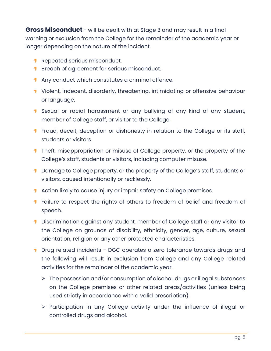**Gross Misconduct** - will be dealt with at Stage 3 and may result in a final warning or exclusion from the College for the remainder of the academic year or longer depending on the nature of the incident.

- **Repeated serious misconduct.**
- **Breach of agreement for serious misconduct.**
- **1** Any conduct which constitutes a criminal offence.
- **1** Violent, indecent, disorderly, threatening, intimidating or offensive behaviour or language.
- **1** Sexual or racial harassment or any bullying of any kind of any student, member of College staff, or visitor to the College.
- **T** Fraud, deceit, deception or dishonesty in relation to the College or its staff, students or visitors
- **T** Theft, misappropriation or misuse of College property, or the property of the College's staff, students or visitors, including computer misuse.
- **1** Damage to College property, or the property of the College's staff, students or visitors, caused intentionally or recklessly.
- Action likely to cause injury or impair safety on College premises.
- **T** Failure to respect the rights of others to freedom of belief and freedom of speech.
- **Discrimination against any student, member of College staff or any visitor to** the College on grounds of disability, ethnicity, gender, age, culture, sexual orientation, religion or any other protected characteristics.
- **1** Drug related incidents DGC operates a zero tolerance towards drugs and the following will result in exclusion from College and any College related activities for the remainder of the academic year.
	- ➢ The possession and/or consumption of alcohol, drugs or illegal substances on the College premises or other related areas/activities (unless being used strictly in accordance with a valid prescription).
	- ➢ Participation in any College activity under the influence of illegal or controlled drugs and alcohol.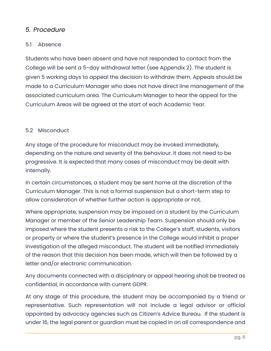## *5. Procedure*

## 5.1 Absence

Students who have been absent and have not responded to contact from the College will be sent a 5-day withdrawal letter (see Appendix 2). The student is given 5 working days to appeal the decision to withdraw them. Appeals should be made to a Curriculum Manager who does not have direct line management of the associated curriculum area. The Curriculum Manager to hear the appeal for the Curriculum Areas will be agreed at the start of each Academic Year.

## 5.2 Misconduct

Any stage of the procedure for misconduct may be invoked immediately, depending on the nature and severity of the behaviour. It does not need to be progressive. It is expected that many cases of misconduct may be dealt with internally.

In certain circumstances, a student may be sent home at the discretion of the Curriculum Manager. This is not a formal suspension but a short-term step to allow consideration of whether further action is appropriate or not.

Where appropriate, suspension may be imposed on a student by the Curriculum Manager or member of the Senior Leadership Team. Suspension should only be imposed where the student presents a risk to the College's staff, students, visitors or property or where the student's presence in the College would inhibit a proper investigation of the alleged misconduct. The student will be notified immediately of the reason that this decision has been made, which will then be followed by a letter and/or electronic communication.

Any documents connected with a disciplinary or appeal hearing shall be treated as confidential, in accordance with current GDPR.

At any stage of this procedure, the student may be accompanied by a friend or representative. Such representation will not include a legal advisor or official appointed by advocacy agencies such as Citizen's Advice Bureau. If the student is under 16, the legal parent or guardian must be copied in on all correspondence and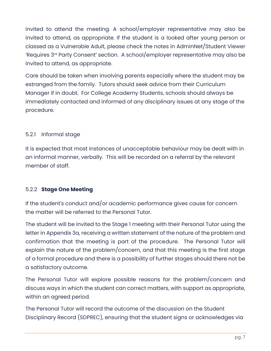invited to attend the meeting. A school/employer representative may also be invited to attend, as appropriate. If the student is a looked after young person or classed as a Vulnerable Adult, please check the notes in AdminNet/Student Viewer 'Requires 3rd Party Consent' section. A school/employer representative may also be invited to attend, as appropriate.

Care should be taken when involving parents especially where the student may be estranged from the family. Tutors should seek advice from their Curriculum Manager if in doubt. For College Academy Students, schools should always be immediately contacted and informed of any disciplinary issues at any stage of the procedure.

## 5.2.1 Informal stage

It is expected that most instances of unacceptable behaviour may be dealt with in an informal manner, verbally. This will be recorded on a referral by the relevant member of staff.

### 5.2.2 **Stage One Meeting**

If the student's conduct and/or academic performance gives cause for concern the matter will be referred to the Personal Tutor.

The student will be invited to the Stage 1 meeting with their Personal Tutor using the letter in Appendix 3a, receiving a written statement of the nature of the problem and confirmation that the meeting is part of the procedure. The Personal Tutor will explain the nature of the problem/concern, and that this meeting is the first stage of a formal procedure and there is a possibility of further stages should there not be a satisfactory outcome.

The Personal Tutor will explore possible reasons for the problem/concern and discuss ways in which the student can correct matters, with support as appropriate, within an agreed period.

The Personal Tutor will record the outcome of the discussion on the Student Disciplinary Record (SDPREC), ensuring that the student signs or acknowledges via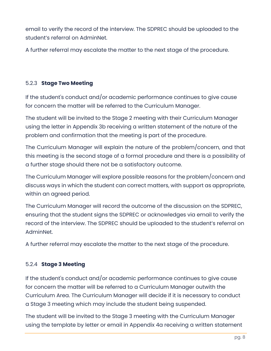email to verify the record of the interview. The SDPREC should be uploaded to the student's referral on AdminNet.

A further referral may escalate the matter to the next stage of the procedure.

## 5.2.3 **Stage Two Meeting**

If the student's conduct and/or academic performance continues to give cause for concern the matter will be referred to the Curriculum Manager.

The student will be invited to the Stage 2 meeting with their Curriculum Manager using the letter in Appendix 3b receiving a written statement of the nature of the problem and confirmation that the meeting is part of the procedure.

The Curriculum Manager will explain the nature of the problem/concern, and that this meeting is the second stage of a formal procedure and there is a possibility of a further stage should there not be a satisfactory outcome.

The Curriculum Manager will explore possible reasons for the problem/concern and discuss ways in which the student can correct matters, with support as appropriate, within an agreed period.

The Curriculum Manager will record the outcome of the discussion on the SDPREC, ensuring that the student signs the SDPREC or acknowledges via email to verify the record of the interview. The SDPREC should be uploaded to the student's referral on AdminNet.

A further referral may escalate the matter to the next stage of the procedure.

## 5.2.4 **Stage 3 Meeting**

If the student's conduct and/or academic performance continues to give cause for concern the matter will be referred to a Curriculum Manager outwith the Curriculum Area. The Curriculum Manager will decide if it is necessary to conduct a Stage 3 meeting which may include the student being suspended.

The student will be invited to the Stage 3 meeting with the Curriculum Manager using the template by letter or email in Appendix 4a receiving a written statement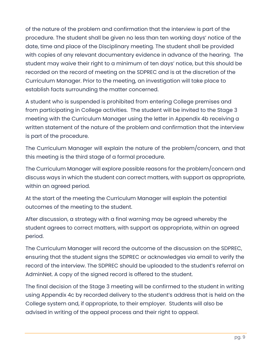of the nature of the problem and confirmation that the interview is part of the procedure. The student shall be given no less than ten working days' notice of the date, time and place of the Disciplinary meeting. The student shall be provided with copies of any relevant documentary evidence in advance of the hearing. The student may waive their right to a minimum of ten days' notice, but this should be recorded on the record of meeting on the SDPREC and is at the discretion of the Curriculum Manager. Prior to the meeting, an investigation will take place to establish facts surrounding the matter concerned.

A student who is suspended is prohibited from entering College premises and from participating in College activities. The student will be invited to the Stage 3 meeting with the Curriculum Manager using the letter in Appendix 4b receiving a written statement of the nature of the problem and confirmation that the interview is part of the procedure.

The Curriculum Manager will explain the nature of the problem/concern, and that this meeting is the third stage of a formal procedure.

The Curriculum Manager will explore possible reasons for the problem/concern and discuss ways in which the student can correct matters, with support as appropriate, within an agreed period.

At the start of the meeting the Curriculum Manager will explain the potential outcomes of the meeting to the student.

After discussion, a strategy with a final warning may be agreed whereby the student agrees to correct matters, with support as appropriate, within an agreed period.

The Curriculum Manager will record the outcome of the discussion on the SDPREC, ensuring that the student signs the SDPREC or acknowledges via email to verify the record of the interview. The SDPREC should be uploaded to the student's referral on AdminNet. A copy of the signed record is offered to the student.

The final decision of the Stage 3 meeting will be confirmed to the student in writing using Appendix 4c by recorded delivery to the student's address that is held on the College system and, if appropriate, to their employer. Students will also be advised in writing of the appeal process and their right to appeal.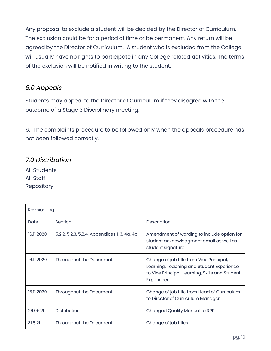Any proposal to exclude a student will be decided by the Director of Curriculum. The exclusion could be for a period of time or be permanent. Any return will be agreed by the Director of Curriculum. A student who is excluded from the College will usually have no rights to participate in any College related activities. The terms of the exclusion will be notified in writing to the student.

## *6.0 Appeals*

Students may appeal to the Director of Curriculum if they disagree with the outcome of a Stage 3 Disciplinary meeting.

6.1 The complaints procedure to be followed only when the appeals procedure has not been followed correctly.

## *7.0 Distribution*

All Students All Staff Repository

| <b>Revision Log</b> |                                              |                                                                                                                                                         |  |
|---------------------|----------------------------------------------|---------------------------------------------------------------------------------------------------------------------------------------------------------|--|
| Date                | Section                                      | Description                                                                                                                                             |  |
| 16.11.2020          | 5.2.2, 5.2.3, 5.2.4, Appendices 1, 3, 4a, 4b | Amendment of wording to include option for<br>student acknowledgment email as well as<br>student signature.                                             |  |
| 16.11.2020          | Throughout the Document                      | Change of job title from Vice Principal,<br>Learning, Teaching and Student Experience<br>to Vice Principal, Learning, Skills and Student<br>Experience. |  |
| 16.11.2020          | Throughout the Document                      | Change of job title from Head of Curriculum<br>to Director of Curriculum Manager.                                                                       |  |
| 26.05.21            | <b>Distribution</b>                          | <b>Changed Quality Manual to RPP</b>                                                                                                                    |  |
| 31.8.21             | Throughout the Document                      | Change of job titles                                                                                                                                    |  |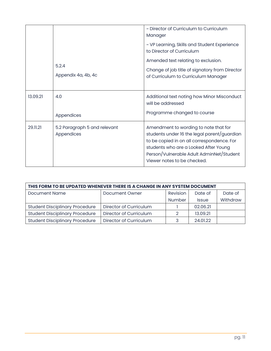|          |                                            | ~ Director of Curriculum to Curriculum<br>Manager                                                                                                                                                                                                      |
|----------|--------------------------------------------|--------------------------------------------------------------------------------------------------------------------------------------------------------------------------------------------------------------------------------------------------------|
|          |                                            | ~ VP Learning, Skills and Student Experience<br>to Director of Curriculum                                                                                                                                                                              |
|          |                                            | Amended text relating to exclusion.                                                                                                                                                                                                                    |
|          | 5.2.4<br>Appendix 4a, 4b, 4c               | Change of job title of signatory from Director<br>of Curriculum to Curriculum Manager                                                                                                                                                                  |
| 13.09.21 | 4.0                                        | Additional text noting how Minor Misconduct<br>will be addressed                                                                                                                                                                                       |
|          | Appendices                                 | Programme changed to course                                                                                                                                                                                                                            |
| 29.11.21 | 5.2 Paragraph 5 and relevant<br>Appendices | Amendment to wording to note that for<br>students under 16 the legal parent/guardian<br>to be copied in on all correspondence. For<br>students who are a Looked After Young<br>Person/Vulnerable Adult AdminNet/Student<br>Viewer notes to be checked. |

| THIS FORM TO BE UPDATED WHENEVER THERE IS A CHANGE IN ANY SYSTEM DOCUMENT |                        |               |              |          |  |  |
|---------------------------------------------------------------------------|------------------------|---------------|--------------|----------|--|--|
| <b>Document Name</b>                                                      | Document Owner         | Revision      | Date of      | Date of  |  |  |
|                                                                           |                        | <b>Number</b> | <b>Issue</b> | Withdraw |  |  |
| <b>Student Disciplinary Procedure</b>                                     | Director of Curriculum |               | 02.06.21     |          |  |  |
| <b>Student Disciplinary Procedure</b>                                     | Director of Curriculum | റ             | 13.09.21     |          |  |  |
| <b>Student Disciplinary Procedure</b>                                     | Director of Curriculum | 3             | 24.01.22     |          |  |  |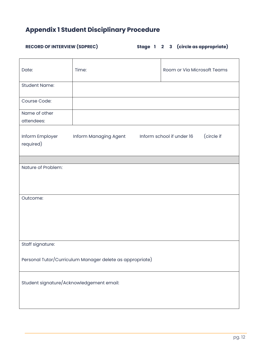# **Appendix 1 Student Disciplinary Procedure**

# **RECORD OF INTERVIEW (SDPREC)** Stage 1 2 3 (circle as app

|  |  |  |  |  | Stage 1 2 3 (circle as appropriate) |
|--|--|--|--|--|-------------------------------------|
|--|--|--|--|--|-------------------------------------|

| Date:                                                    | Time:                 |  | Room or Via Microsoft Teams             |  |  |
|----------------------------------------------------------|-----------------------|--|-----------------------------------------|--|--|
| <b>Student Name:</b>                                     |                       |  |                                         |  |  |
| Course Code:                                             |                       |  |                                         |  |  |
| Name of other<br>attendees:                              |                       |  |                                         |  |  |
| Inform Employer<br>required)                             | Inform Managing Agent |  | (circle if<br>Inform school if under 16 |  |  |
| Nature of Problem:                                       |                       |  |                                         |  |  |
| Outcome:                                                 |                       |  |                                         |  |  |
| Staff signature:                                         |                       |  |                                         |  |  |
| Personal Tutor/Curriculum Manager delete as appropriate) |                       |  |                                         |  |  |
| Student signature/Acknowledgement email:                 |                       |  |                                         |  |  |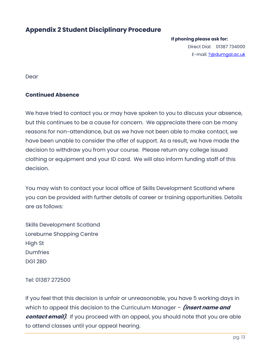## **Appendix 2 Student Disciplinary Procedure**

#### **If phoning please ask for:**

Direct Dial: 01387 734000 E-mail: ?@dumqal.ac.uk

Dear

#### **Continued Absence**

We have tried to contact you or may have spoken to you to discuss your absence, but this continues to be a cause for concern. We appreciate there can be many reasons for non-attendance, but as we have not been able to make contact, we have been unable to consider the offer of support. As a result, we have made the decision to withdraw you from your course. Please return any college issued clothing or equipment and your ID card. We will also inform funding staff of this decision.

You may wish to contact your local office of Skills Development Scotland where you can be provided with further details of career or training opportunities. Details are as follows:

Skills Development Scotland Loreburne Shopping Centre High St **Dumfries** DG1 2BD

Tel: 01387 272500

If you feel that this decision is unfair or unreasonable, you have 5 working days in which to appeal this decision to the Curriculum Manager – **(insert name and contact email)**. If you proceed with an appeal, you should note that you are able to attend classes until your appeal hearing.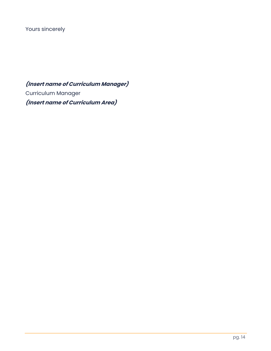Yours sincerely

**(Insert name of Curriculum Manager)** Curriculum Manager **(Insert name of Curriculum Area)**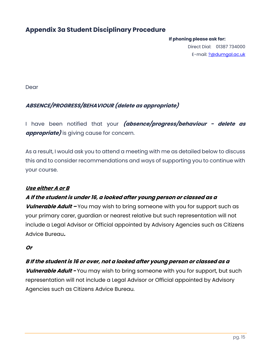## **Appendix 3a Student Disciplinary Procedure**

#### **If phoning please ask for:**

Direct Dial: 01387 734000 E-mail: ?@dumqal.ac.uk

Dear

## **ABSENCE/PROGRESS/BEHAVIOUR (delete as appropriate)**

I have been notified that your **(absence/progress/behaviour - delete as appropriate)** is giving cause for concern.

As a result, I would ask you to attend a meeting with me as detailed below to discuss this and to consider recommendations and ways of supporting you to continue with your course.

### **Use either A or B**

### **A If the student is under 16, a looked after young person or classed as a**

**Vulnerable Adult –** You may wish to bring someone with you for support such as your primary carer, guardian or nearest relative but such representation will not include a Legal Advisor or Official appointed by Advisory Agencies such as Citizens Advice Bureau**.**

**Or**

### **B If the student is 16 or over, not a looked after young person or classed as a**

**Vulnerable Adult -** You may wish to bring someone with you for support, but such representation will not include a Legal Advisor or Official appointed by Advisory Agencies such as Citizens Advice Bureau.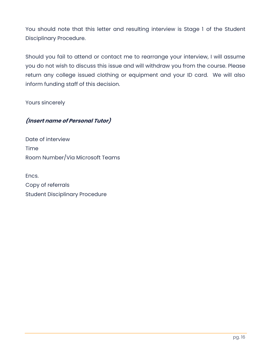You should note that this letter and resulting interview is Stage 1 of the Student Disciplinary Procedure.

Should you fail to attend or contact me to rearrange your interview, I will assume you do not wish to discuss this issue and will withdraw you from the course. Please return any college issued clothing or equipment and your ID card. We will also inform funding staff of this decision.

Yours sincerely

## **(Insert name of Personal Tutor)**

Date of interview Time Room Number/Via Microsoft Teams

Encs. Copy of referrals Student Disciplinary Procedure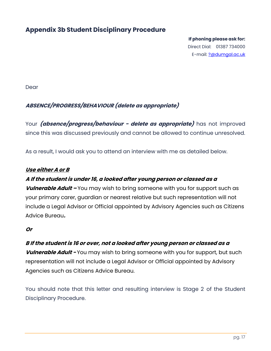## **Appendix 3b Student Disciplinary Procedure**

**If phoning please ask for:**  Direct Dial: 01387 734000 E-mail: ?@dumqal.ac.uk

Dear

### **ABSENCE/PROGRESS/BEHAVIOUR (delete as appropriate)**

Your **(absence/progress/behaviour - delete as appropriate)** has not improved since this was discussed previously and cannot be allowed to continue unresolved.

As a result, I would ask you to attend an interview with me as detailed below.

#### **Use either A or B**

### **A If the student is under 16, a looked after young person or classed as a**

**Vulnerable Adult –** You may wish to bring someone with you for support such as your primary carer, guardian or nearest relative but such representation will not include a Legal Advisor or Official appointed by Advisory Agencies such as Citizens Advice Bureau**.**

#### **Or**

#### **B If the student is 16 or over, not a looked after young person or classed as a**

**Vulnerable Adult -** You may wish to bring someone with you for support, but such representation will not include a Legal Advisor or Official appointed by Advisory Agencies such as Citizens Advice Bureau.

You should note that this letter and resulting interview is Stage 2 of the Student Disciplinary Procedure.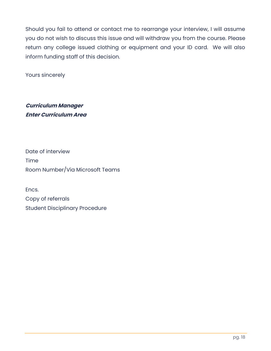Should you fail to attend or contact me to rearrange your interview, I will assume you do not wish to discuss this issue and will withdraw you from the course. Please return any college issued clothing or equipment and your ID card. We will also inform funding staff of this decision.

Yours sincerely

**Curriculum Manager Enter Curriculum Area**

Date of interview Time Room Number/Via Microsoft Teams

Encs. Copy of referrals Student Disciplinary Procedure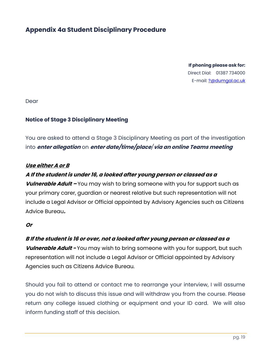## **Appendix 4a Student Disciplinary Procedure**

**If phoning please ask for:**  Direct Dial: 01387 734000 E-mail: [?@dumgal.ac.uk](mailto:?@dumgal.ac.uk)

Dear

#### **Notice of Stage 3 Disciplinary Meeting**

You are asked to attend a Stage 3 Disciplinary Meeting as part of the investigation into **enter allegation** on **enter date/time/place***/***via an online Teams meeting**

#### **Use either A or B**

#### **A If the student is under 16, a looked after young person or classed as a**

**Vulnerable Adult –** You may wish to bring someone with you for support such as your primary carer, guardian or nearest relative but such representation will not include a Legal Advisor or Official appointed by Advisory Agencies such as Citizens Advice Bureau**.**

#### **Or**

#### **B If the student is 16 or over, not a looked after young person or classed as a**

**Vulnerable Adult -** You may wish to bring someone with you for support, but such representation will not include a Legal Advisor or Official appointed by Advisory Agencies such as Citizens Advice Bureau.

Should you fail to attend or contact me to rearrange your interview, I will assume you do not wish to discuss this issue and will withdraw you from the course. Please return any college issued clothing or equipment and your ID card. We will also inform funding staff of this decision.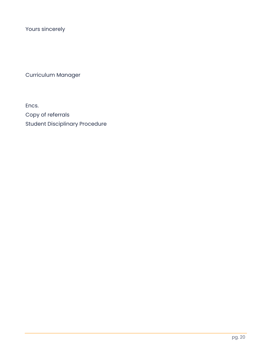Yours sincerely

Curriculum Manager

Encs. Copy of referrals Student Disciplinary Procedure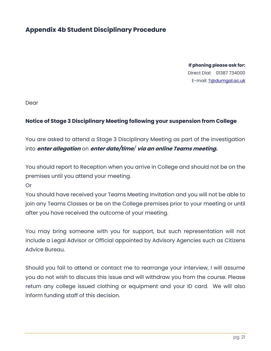## **Appendix 4b Student Disciplinary Procedure**

**If phoning please ask for:**  Direct Dial: 01387 734000 E-mail: [?@dumgal.ac.uk](mailto:?@dumgal.ac.uk)

Dear

#### **Notice of Stage 3 Disciplinary Meeting following your suspension from College**

You are asked to attend a Stage 3 Disciplinary Meeting as part of the investigation into **enter allegation** on **enter date/time***/* **via an online Teams meeting.**

You should report to Reception when you arrive in College and should not be on the premises until you attend your meeting.

Or

You should have received your Teams Meeting Invitation and you will not be able to join any Teams Classes or be on the College premises prior to your meeting or until after you have received the outcome of your meeting.

You may bring someone with you for support, but such representation will not include a Legal Advisor or Official appointed by Advisory Agencies such as Citizens Advice Bureau.

Should you fail to attend or contact me to rearrange your interview, I will assume you do not wish to discuss this issue and will withdraw you from the course. Please return any college issued clothing or equipment and your ID card. We will also inform funding staff of this decision.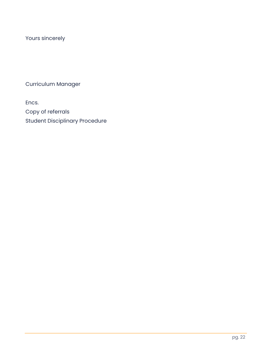Yours sincerely

Curriculum Manager

Encs. Copy of referrals

Student Disciplinary Procedure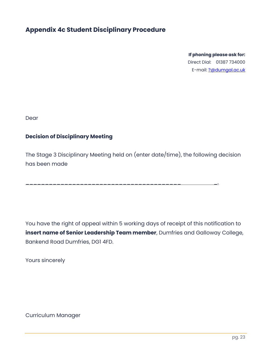## **Appendix 4c Student Disciplinary Procedure**

**If phoning please ask for:**  Direct Dial: 01387 734000 E-mail: [?@dumgal.ac.uk](mailto:?@dumgal.ac.uk)

Dear

## **Decision of Disciplinary Meeting**

The Stage 3 Disciplinary Meeting held on (enter date/time), the following decision has been made

\_\_\_\_\_\_\_\_\_\_\_\_\_\_\_\_\_\_\_\_\_\_\_\_\_\_\_\_\_\_\_\_\_\_\_\_\_\_\_\_ \_.

You have the right of appeal within 5 working days of receipt of this notification to **insert name of Senior Leadership Team member**, Dumfries and Galloway College, Bankend Road Dumfries, DG1 4FD.

Yours sincerely

Curriculum Manager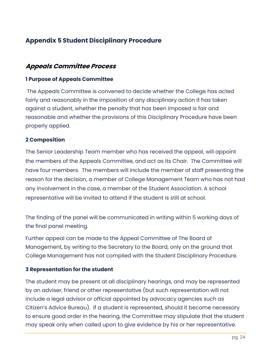## **Appendix 5 Student Disciplinary Procedure**

## **Appeals Committee Process**

### **1 Purpose of Appeals Committee**

The Appeals Committee is convened to decide whether the College has acted fairly and reasonably in the imposition of any disciplinary action it has taken against a student, whether the penalty that has been imposed is fair and reasonable and whether the provisions of this Disciplinary Procedure have been properly applied.

## **2 Composition**

The Senior Leadership Team member who has received the appeal, will appoint the members of the Appeals Committee, and act as its Chair. The Committee will have four members. The members will include the member of staff presenting the reason for the decision, a member of College Management Team who has not had any involvement in the case, a member of the Student Association. A school representative will be invited to attend if the student is still at school.

The finding of the panel will be communicated in writing within 5 working days of the final panel meeting.

Further appeal can be made to the Appeal Committee of The Board of Management, by writing to the Secretary to the Board, only on the ground that College Management has not complied with the Student Disciplinary Procedure.

### **3 Representation for the student**

The student may be present at all disciplinary hearings, and may be represented by an adviser, friend or other representative (but such representation will not include a legal advisor or official appointed by advocacy agencies such as Citizen's Advice Bureau). If a student is represented, should it become necessary to ensure good order in the hearing, the Committee may stipulate that the student may speak only when called upon to give evidence by his or her representative.